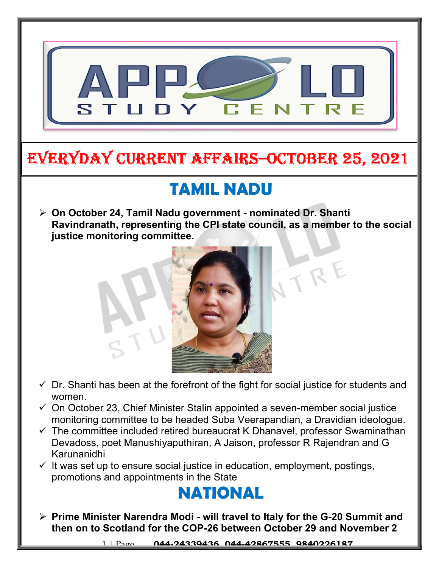

# EVERYDAY CURRENT AFFAIRS–OCTOBER 25, 2021

-

### TAMIL NADU

 On October 24, Tamil Nadu government - nominated Dr. Shanti Ravindranath, representing the CPI state council, as a member to the social justice monitoring committee.



- $\checkmark$  Dr. Shanti has been at the forefront of the fight for social justice for students and women.
- $\checkmark$  On October 23, Chief Minister Stalin appointed a seven-member social justice monitoring committee to be headed Suba Veerapandian, a Dravidian ideologue.
- $\checkmark$  The committee included retired bureaucrat K Dhanavel, professor Swaminathan Devadoss, poet Manushiyaputhiran, A Jaison, professor R Rajendran and G Karunanidhi
- $\checkmark$  It was set up to ensure social justice in education, employment, postings, promotions and appointments in the State

### NATIONAL

 $\triangleright$  Prime Minister Narendra Modi - will travel to Italy for the G-20 Summit and then on to Scotland for the COP-26 between October 29 and November 2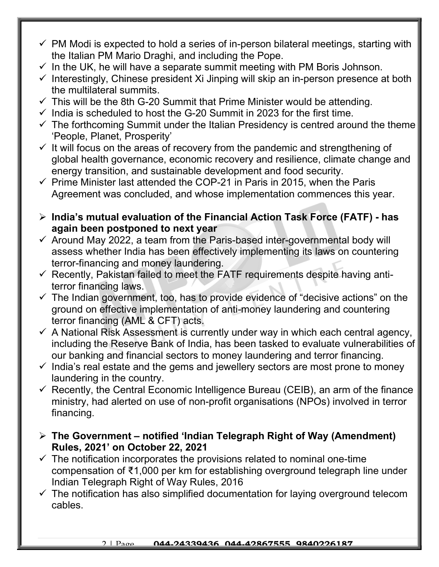- $\checkmark$  PM Modi is expected to hold a series of in-person bilateral meetings, starting with the Italian PM Mario Draghi, and including the Pope.
- $\checkmark$  In the UK, he will have a separate summit meeting with PM Boris Johnson.
- $\checkmark$  Interestingly, Chinese president Xi Jinping will skip an in-person presence at both the multilateral summits.
- $\checkmark$  This will be the 8th G-20 Summit that Prime Minister would be attending.
- $\checkmark$  India is scheduled to host the G-20 Summit in 2023 for the first time.
- $\checkmark$  The forthcoming Summit under the Italian Presidency is centred around the theme 'People, Planet, Prosperity'
- $\checkmark$  It will focus on the areas of recovery from the pandemic and strengthening of global health governance, economic recovery and resilience, climate change and energy transition, and sustainable development and food security.
- $\checkmark$  Prime Minister last attended the COP-21 in Paris in 2015, when the Paris Agreement was concluded, and whose implementation commences this year.
- $\triangleright$  India's mutual evaluation of the Financial Action Task Force (FATF) has again been postponed to next year
- $\checkmark$  Around May 2022, a team from the Paris-based inter-governmental body will assess whether India has been effectively implementing its laws on countering terror-financing and money laundering.
- $\checkmark$  Recently, Pakistan failed to meet the FATF requirements despite having antiterror financing laws.
- $\checkmark$  The Indian government, too, has to provide evidence of "decisive actions" on the ground on effective implementation of anti-money laundering and countering terror financing (AML & CFT) acts.
- $\checkmark$  A National Risk Assessment is currently under way in which each central agency, including the Reserve Bank of India, has been tasked to evaluate vulnerabilities of our banking and financial sectors to money laundering and terror financing.
- $\checkmark$  India's real estate and the gems and jewellery sectors are most prone to money laundering in the country.
- $\checkmark$  Recently, the Central Economic Intelligence Bureau (CEIB), an arm of the finance ministry, had alerted on use of non-profit organisations (NPOs) involved in terror financing.
- $\triangleright$  The Government notified 'Indian Telegraph Right of Way (Amendment) Rules, 2021' on October 22, 2021
- $\checkmark$  The notification incorporates the provisions related to nominal one-time compensation of ₹1,000 per km for establishing overground telegraph line under Indian Telegraph Right of Way Rules, 2016
- $\checkmark$  The notification has also simplified documentation for laying overground telecom cables.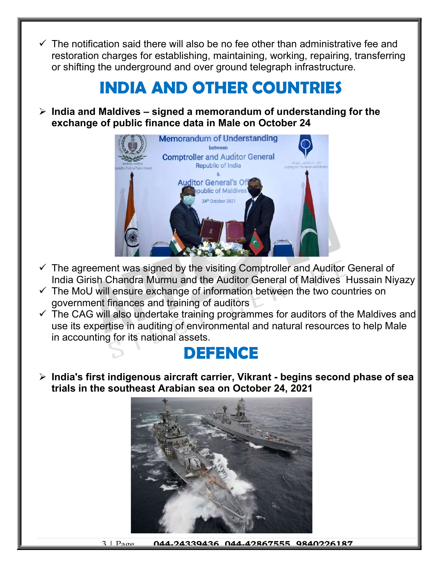$\checkmark$  The notification said there will also be no fee other than administrative fee and restoration charges for establishing, maintaining, working, repairing, transferring or shifting the underground and over ground telegraph infrastructure.

## INDIA AND OTHER COUNTRIES

 $\triangleright$  India and Maldives – signed a memorandum of understanding for the exchange of public finance data in Male on October 24



- $\checkmark$  The agreement was signed by the visiting Comptroller and Auditor General of India Girish Chandra Murmu and the Auditor General of Maldives Hussain Niyazy
- $\checkmark$  The MoU will ensure exchange of information between the two countries on government finances and training of auditors
- $\checkmark$  The CAG will also undertake training programmes for auditors of the Maldives and use its expertise in auditing of environmental and natural resources to help Male in accounting for its national assets.

#### **DEFENCE**

 $\triangleright$  India's first indigenous aircraft carrier, Vikrant - begins second phase of sea trials in the southeast Arabian sea on October 24, 2021



3 | Page | 044.24339436, 044.42867555, 9840226187